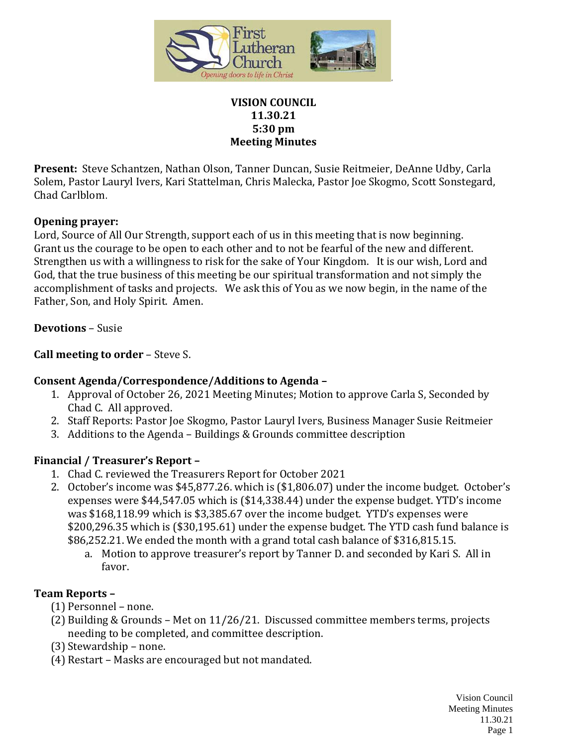

#### **VISION COUNCIL 11.30.21 5:30 pm Meeting Minutes**

**Present:** Steve Schantzen, Nathan Olson, Tanner Duncan, Susie Reitmeier, DeAnne Udby, Carla Solem, Pastor Lauryl Ivers, Kari Stattelman, Chris Malecka, Pastor Joe Skogmo, Scott Sonstegard, Chad Carlblom.

#### **Opening prayer:**

Lord, Source of All Our Strength, support each of us in this meeting that is now beginning. Grant us the courage to be open to each other and to not be fearful of the new and different. Strengthen us with a willingness to risk for the sake of Your Kingdom. It is our wish, Lord and God, that the true business of this meeting be our spiritual transformation and not simply the accomplishment of tasks and projects. We ask this of You as we now begin, in the name of the Father, Son, and Holy Spirit. Amen.

### **Devotions** – Susie

### **Call meeting to order** – Steve S.

### **Consent Agenda/Correspondence/Additions to Agenda –**

- 1. Approval of October 26, 2021 Meeting Minutes; Motion to approve Carla S, Seconded by Chad C. All approved.
- 2. Staff Reports: Pastor Joe Skogmo, Pastor Lauryl Ivers, Business Manager Susie Reitmeier
- 3. Additions to the Agenda Buildings & Grounds committee description

### **Financial / Treasurer's Report –**

- 1. Chad C. reviewed the Treasurers Report for October 2021
- 2. October's income was \$45,877.26. which is (\$1,806.07) under the income budget. October's expenses were \$44,547.05 which is (\$14,338.44) under the expense budget. YTD's income was \$168,118.99 which is \$3,385.67 over the income budget. YTD's expenses were \$200,296.35 which is (\$30,195.61) under the expense budget. The YTD cash fund balance is \$86,252.21. We ended the month with a grand total cash balance of \$316,815.15.
	- a. Motion to approve treasurer's report by Tanner D. and seconded by Kari S. All in favor.

### **Team Reports –**

- (1) Personnel none.
- (2) Building & Grounds Met on 11/26/21. Discussed committee members terms, projects needing to be completed, and committee description.
- (3) Stewardship none.
- (4) Restart Masks are encouraged but not mandated.

Vision Council Meeting Minutes 11.30.21 Page 1